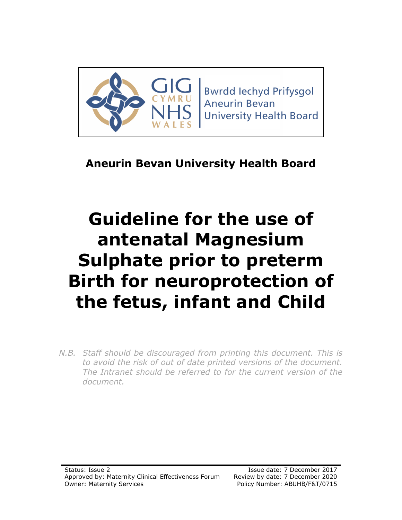

**Bwrdd lechyd Prifysgol Aneurin Bevan University Health Board** 

# **Aneurin Bevan University Health Board**

# **Guideline for the use of antenatal Magnesium Sulphate prior to preterm Birth for neuroprotection of the fetus, infant and Child**

*N.B. Staff should be discouraged from printing this document. This is to avoid the risk of out of date printed versions of the document. The Intranet should be referred to for the current version of the document.*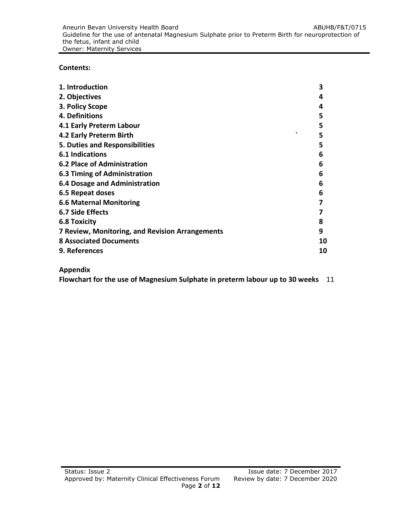**Contents:**

| 1. Introduction                                 | 3  |
|-------------------------------------------------|----|
| 2. Objectives                                   | 4  |
| 3. Policy Scope                                 | 4  |
| 4. Definitions                                  | 5  |
| 4.1 Early Preterm Labour                        | 5  |
| 4.2 Early Preterm Birth                         | 5  |
| 5. Duties and Responsibilities                  | 5  |
| 6.1 Indications                                 | 6  |
| <b>6.2 Place of Administration</b>              | 6  |
| 6.3 Timing of Administration                    | 6  |
| <b>6.4 Dosage and Administration</b>            | 6  |
| 6.5 Repeat doses                                | 6  |
| <b>6.6 Maternal Monitoring</b>                  | 7  |
| 6.7 Side Effects                                | 7  |
| <b>6.8 Toxicity</b>                             | 8  |
| 7 Review, Monitoring, and Revision Arrangements | 9  |
| <b>8 Associated Documents</b>                   | 10 |
| 9. References                                   | 10 |
|                                                 |    |

# **Appendix**

**Flowchart for the use of Magnesium Sulphate in preterm labour up to 30 weeks** 11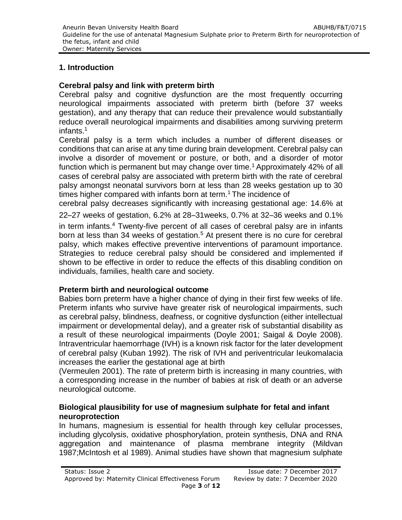#### **1. Introduction**

#### **Cerebral palsy and link with preterm birth**

Cerebral palsy and cognitive dysfunction are the most frequently occurring neurological impairments associated with preterm birth (before 37 weeks gestation), and any therapy that can reduce their prevalence would substantially reduce overall neurological impairments and disabilities among surviving preterm infants.<sup>1</sup>

Cerebral palsy is a term which includes a number of different diseases or conditions that can arise at any time during brain development. Cerebral palsy can involve a disorder of movement or posture, or both, and a disorder of motor function which is permanent but may change over time.<sup>1</sup> Approximately 42% of all cases of cerebral palsy are associated with preterm birth with the rate of cerebral palsy amongst neonatal survivors born at less than 28 weeks gestation up to 30 times higher compared with infants born at term.<sup>1</sup> The incidence of

cerebral palsy decreases significantly with increasing gestational age: 14.6% at

22–27 weeks of gestation, 6.2% at 28–31weeks, 0.7% at 32–36 weeks and 0.1%

in term infants.<sup>4</sup> Twenty-five percent of all cases of cerebral palsy are in infants born at less than 34 weeks of gestation.<sup>5</sup> At present there is no cure for cerebral palsy, which makes effective preventive interventions of paramount importance. Strategies to reduce cerebral palsy should be considered and implemented if shown to be effective in order to reduce the effects of this disabling condition on individuals, families, health care and society.

#### **Preterm birth and neurological outcome**

Babies born preterm have a higher chance of dying in their first few weeks of life. Preterm infants who survive have greater risk of neurological impairments, such as cerebral palsy, blindness, deafness, or cognitive dysfunction (either intellectual impairment or developmental delay), and a greater risk of substantial disability as a result of these neurological impairments (Doyle 2001; Saigal & Doyle 2008). Intraventricular haemorrhage (IVH) is a known risk factor for the later development of cerebral palsy (Kuban 1992). The risk of IVH and periventricular leukomalacia increases the earlier the gestational age at birth

(Vermeulen 2001). The rate of preterm birth is increasing in many countries, with a corresponding increase in the number of babies at risk of death or an adverse neurological outcome.

#### **Biological plausibility for use of magnesium sulphate for fetal and infant neuroprotection**

In humans, magnesium is essential for health through key cellular processes, including glycolysis, oxidative phosphorylation, protein synthesis, DNA and RNA aggregation and maintenance of plasma membrane integrity (Mildvan 1987;McIntosh et al 1989). Animal studies have shown that magnesium sulphate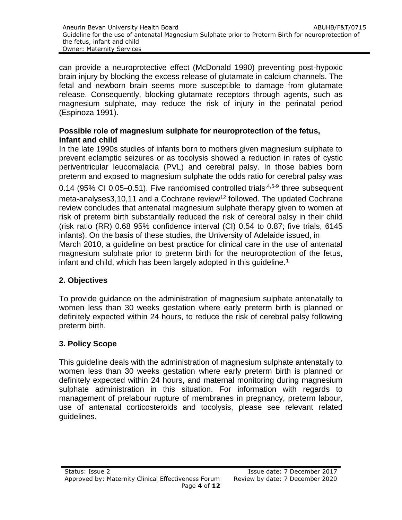can provide a neuroprotective effect (McDonald 1990) preventing post-hypoxic brain injury by blocking the excess release of glutamate in calcium channels. The fetal and newborn brain seems more susceptible to damage from glutamate release. Consequently, blocking glutamate receptors through agents, such as magnesium sulphate, may reduce the risk of injury in the perinatal period (Espinoza 1991).

#### **Possible role of magnesium sulphate for neuroprotection of the fetus, infant and child**

In the late 1990s studies of infants born to mothers given magnesium sulphate to prevent eclamptic seizures or as tocolysis showed a reduction in rates of cystic periventricular leucomalacia (PVL) and cerebral palsy. In those babies born preterm and expsed to magnesium sulphate the odds ratio for cerebral palsy was

0.14 (95% CI 0.05–0.51). Five randomised controlled trials<sup>,4,5-9</sup> three subsequent meta-analyses  $3,10,11$  and a Cochrane review<sup>12</sup> followed. The updated Cochrane review concludes that antenatal magnesium sulphate therapy given to women at risk of preterm birth substantially reduced the risk of cerebral palsy in their child (risk ratio (RR) 0.68 95% confidence interval (CI) 0.54 to 0.87; five trials, 6145 infants). On the basis of these studies, the University of Adelaide issued, in

March 2010, a guideline on best practice for clinical care in the use of antenatal magnesium sulphate prior to preterm birth for the neuroprotection of the fetus, infant and child, which has been largely adopted in this guideline.<sup>1</sup>

# **2. Objectives**

To provide guidance on the administration of magnesium sulphate antenatally to women less than 30 weeks gestation where early preterm birth is planned or definitely expected within 24 hours, to reduce the risk of cerebral palsy following preterm birth.

# **3. Policy Scope**

This guideline deals with the administration of magnesium sulphate antenatally to women less than 30 weeks gestation where early preterm birth is planned or definitely expected within 24 hours, and maternal monitoring during magnesium sulphate administration in this situation. For information with regards to management of prelabour rupture of membranes in pregnancy, preterm labour, use of antenatal corticosteroids and tocolysis, please see relevant related guidelines.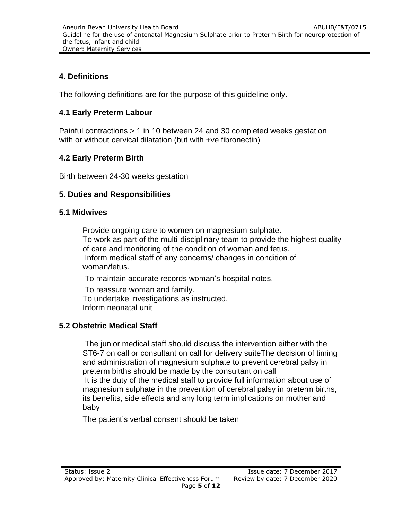#### **4. Definitions**

The following definitions are for the purpose of this guideline only.

#### **4.1 Early Preterm Labour**

Painful contractions > 1 in 10 between 24 and 30 completed weeks gestation with or without cervical dilatation (but with +ve fibronectin)

### **4.2 Early Preterm Birth**

Birth between 24-30 weeks gestation

#### **5. Duties and Responsibilities**

#### **5.1 Midwives**

Provide ongoing care to women on magnesium sulphate. To work as part of the multi-disciplinary team to provide the highest quality of care and monitoring of the condition of woman and fetus. Inform medical staff of any concerns/ changes in condition of woman/fetus.

To maintain accurate records woman's hospital notes.

To reassure woman and family. To undertake investigations as instructed. Inform neonatal unit

#### **5.2 Obstetric Medical Staff**

The junior medical staff should discuss the intervention either with the ST6-7 on call or consultant on call for delivery suiteThe decision of timing and administration of magnesium sulphate to prevent cerebral palsy in preterm births should be made by the consultant on call It is the duty of the medical staff to provide full information about use of magnesium sulphate in the prevention of cerebral palsy in preterm births, its benefits, side effects and any long term implications on mother and baby

The patient's verbal consent should be taken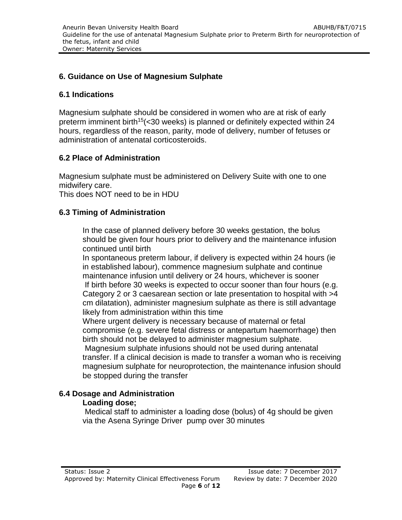#### **6. Guidance on Use of Magnesium Sulphate**

#### **6.1 Indications**

Magnesium sulphate should be considered in women who are at risk of early preterm imminent birth<sup>15</sup> (< 30 weeks) is planned or definitely expected within 24 hours, regardless of the reason, parity, mode of delivery, number of fetuses or administration of antenatal corticosteroids.

#### **6.2 Place of Administration**

Magnesium sulphate must be administered on Delivery Suite with one to one midwifery care.

This does NOT need to be in HDU

#### **6.3 Timing of Administration**

In the case of planned delivery before 30 weeks gestation, the bolus should be given four hours prior to delivery and the maintenance infusion continued until birth

In spontaneous preterm labour, if delivery is expected within 24 hours (ie in established labour), commence magnesium sulphate and continue maintenance infusion until delivery or 24 hours, whichever is sooner If birth before 30 weeks is expected to occur sooner than four hours (e.g. Category 2 or 3 caesarean section or late presentation to hospital with >4 cm dilatation), administer magnesium sulphate as there is still advantage likely from administration within this time

Where urgent delivery is necessary because of maternal or fetal compromise (e.g. severe fetal distress or antepartum haemorrhage) then birth should not be delayed to administer magnesium sulphate.

Magnesium sulphate infusions should not be used during antenatal transfer. If a clinical decision is made to transfer a woman who is receiving magnesium sulphate for neuroprotection, the maintenance infusion should be stopped during the transfer

#### **6.4 Dosage and Administration**

#### **Loading dose;**

Medical staff to administer a loading dose (bolus) of 4g should be given via the Asena Syringe Driver pump over 30 minutes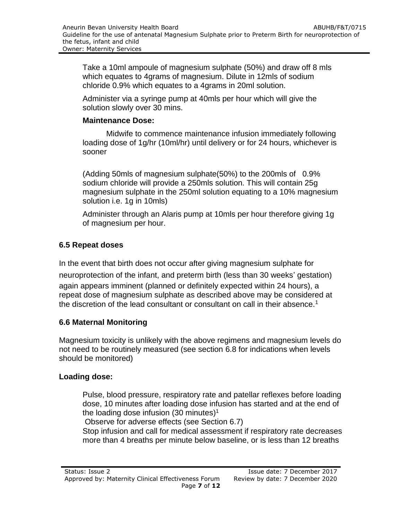Take a 10ml ampoule of magnesium sulphate (50%) and draw off 8 mls which equates to 4grams of magnesium. Dilute in 12mls of sodium chloride 0.9% which equates to a 4grams in 20ml solution.

Administer via a syringe pump at 40mls per hour which will give the solution slowly over 30 mins.

#### **Maintenance Dose:**

Midwife to commence maintenance infusion immediately following loading dose of 1g/hr (10ml/hr) until delivery or for 24 hours, whichever is sooner

(Adding 50mls of magnesium sulphate(50%) to the 200mls of 0.9% sodium chloride will provide a 250mls solution. This will contain 25g magnesium sulphate in the 250ml solution equating to a 10% magnesium solution i.e. 1g in 10mls)

Administer through an Alaris pump at 10mls per hour therefore giving 1g of magnesium per hour.

# **6.5 Repeat doses**

In the event that birth does not occur after giving magnesium sulphate for neuroprotection of the infant, and preterm birth (less than 30 weeks' gestation) again appears imminent (planned or definitely expected within 24 hours), a repeat dose of magnesium sulphate as described above may be considered at the discretion of the lead consultant or consultant on call in their absence.<sup>1</sup>

# **6.6 Maternal Monitoring**

Magnesium toxicity is unlikely with the above regimens and magnesium levels do not need to be routinely measured (see section 6.8 for indications when levels should be monitored)

#### **Loading dose:**

Pulse, blood pressure, respiratory rate and patellar reflexes before loading dose, 10 minutes after loading dose infusion has started and at the end of the loading dose infusion  $(30 \text{ minutes})^1$ 

Observe for adverse effects (see Section 6.7)

Stop infusion and call for medical assessment if respiratory rate decreases more than 4 breaths per minute below baseline, or is less than 12 breaths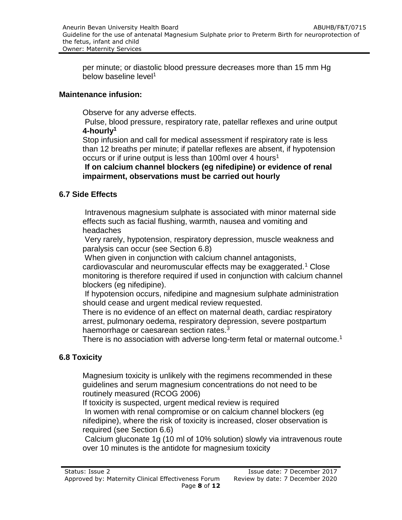per minute; or diastolic blood pressure decreases more than 15 mm Hg below baseline level<sup>1</sup>

#### **Maintenance infusion:**

Observe for any adverse effects.

Pulse, blood pressure, respiratory rate, patellar reflexes and urine output **4-hourly<sup>1</sup>**

Stop infusion and call for medical assessment if respiratory rate is less than 12 breaths per minute; if patellar reflexes are absent, if hypotension occurs or if urine output is less than 100ml over 4 hours<sup>1</sup>

**If on calcium channel blockers (eg nifedipine) or evidence of renal impairment, observations must be carried out hourly**

#### **6.7 Side Effects**

Intravenous magnesium sulphate is associated with minor maternal side effects such as facial flushing, warmth, nausea and vomiting and headaches

Very rarely, hypotension, respiratory depression, muscle weakness and paralysis can occur (see Section 6.8)

When given in conjunction with calcium channel antagonists, cardiovascular and neuromuscular effects may be exaggerated.<sup>1</sup> Close monitoring is therefore required if used in conjunction with calcium channel blockers (eg nifedipine).

If hypotension occurs, nifedipine and magnesium sulphate administration should cease and urgent medical review requested.

There is no evidence of an effect on maternal death, cardiac respiratory arrest, pulmonary oedema, respiratory depression, severe postpartum haemorrhage or caesarean section rates.<sup>3</sup>

There is no association with adverse long-term fetal or maternal outcome.<sup>1</sup>

# **6.8 Toxicity**

Magnesium toxicity is unlikely with the regimens recommended in these guidelines and serum magnesium concentrations do not need to be routinely measured (RCOG 2006)

If toxicity is suspected, urgent medical review is required In women with renal compromise or on calcium channel blockers (eg nifedipine), where the risk of toxicity is increased, closer observation is required (see Section 6.6)

Calcium gluconate 1g (10 ml of 10% solution) slowly via intravenous route over 10 minutes is the antidote for magnesium toxicity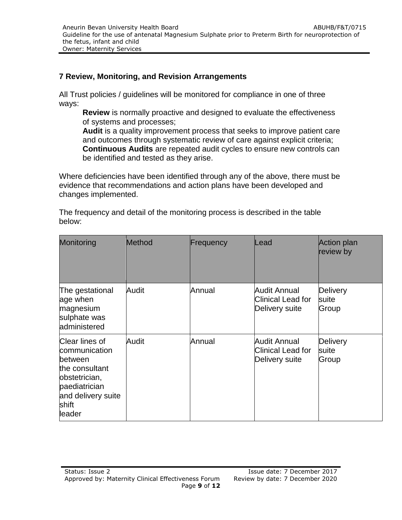#### **7 Review, Monitoring, and Revision Arrangements**

All Trust policies / guidelines will be monitored for compliance in one of three ways:

**Review** is normally proactive and designed to evaluate the effectiveness of systems and processes;

**Audit** is a quality improvement process that seeks to improve patient care and outcomes through systematic review of care against explicit criteria; **Continuous Audits** are repeated audit cycles to ensure new controls can be identified and tested as they arise.

Where deficiencies have been identified through any of the above, there must be evidence that recommendations and action plans have been developed and changes implemented.

| Monitoring                                                                                                                              | Method | Frequency | Lead                                                              | Action plan<br>review by   |
|-----------------------------------------------------------------------------------------------------------------------------------------|--------|-----------|-------------------------------------------------------------------|----------------------------|
| The gestational<br>age when<br>magnesium<br>sulphate was<br>administered                                                                | Audit  | Annual    | Audit Annual<br>Clinical Lead for<br>Delivery suite               | Delivery<br>suite<br>Group |
| Clear lines of<br>communication<br>between<br>the consultant<br>obstetrician,<br>paediatrician<br>and delivery suite<br>shift<br>leader | Audit  | Annual    | <b>Audit Annual</b><br><b>Clinical Lead for</b><br>Delivery suite | Delivery<br>suite<br>Group |

The frequency and detail of the monitoring process is described in the table below: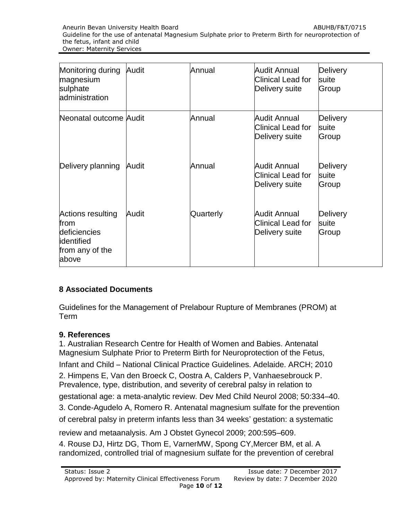| Monitoring during<br>magnesium<br>sulphate<br>administration                         | Audit | Annual    | Audit Annual<br><b>Clinical Lead for</b><br>Delivery suite | Delivery<br>suite<br>Group |
|--------------------------------------------------------------------------------------|-------|-----------|------------------------------------------------------------|----------------------------|
| Neonatal outcome Audit                                                               |       | Annual    | Audit Annual<br><b>Clinical Lead for</b><br>Delivery suite | Delivery<br>suite<br>Group |
| Delivery planning                                                                    | Audit | Annual    | Audit Annual<br>Clinical Lead for<br>Delivery suite        | Delivery<br>suite<br>Group |
| Actions resulting<br>from<br>deficiencies<br>lidentified<br>from any of the<br>above | Audit | Quarterly | <b>Audit Annual</b><br>Clinical Lead for<br>Delivery suite | Delivery<br>suite<br>Group |

# **8 Associated Documents**

Guidelines for the Management of Prelabour Rupture of Membranes (PROM) at Term

# **9. References**

1. Australian Research Centre for Health of Women and Babies. Antenatal Magnesium Sulphate Prior to Preterm Birth for Neuroprotection of the Fetus, Infant and Child – National Clinical Practice Guidelines. Adelaide. ARCH; 2010 2. Himpens E, Van den Broeck C, Oostra A, Calders P, Vanhaesebrouck P. Prevalence, type, distribution, and severity of cerebral palsy in relation to gestational age: a meta-analytic review. Dev Med Child Neurol 2008; 50:334–40. 3. Conde-Agudelo A, Romero R. Antenatal magnesium sulfate for the prevention of cerebral palsy in preterm infants less than 34 weeks' gestation: a systematic

review and metaanalysis. Am J Obstet Gynecol 2009; 200:595–609. 4. Rouse DJ, Hirtz DG, Thom E, VarnerMW, Spong CY,Mercer BM, et al. A randomized, controlled trial of magnesium sulfate for the prevention of cerebral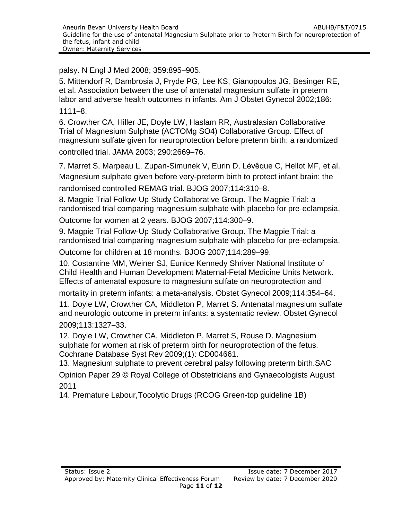palsy. N Engl J Med 2008; 359:895–905.

5. Mittendorf R, Dambrosia J, Pryde PG, Lee KS, Gianopoulos JG, Besinger RE, et al. Association between the use of antenatal magnesium sulfate in preterm labor and adverse health outcomes in infants. Am J Obstet Gynecol 2002;186: 1111–8.

6. Crowther CA, Hiller JE, Doyle LW, Haslam RR, Australasian Collaborative Trial of Magnesium Sulphate (ACTOMg SO4) Collaborative Group. Effect of magnesium sulfate given for neuroprotection before preterm birth: a randomized controlled trial. JAMA 2003; 290:2669–76.

7. Marret S, Marpeau L, Zupan-Simunek V, Eurin D, Lévêque C, Hellot MF, et al. Magnesium sulphate given before very-preterm birth to protect infant brain: the randomised controlled REMAG trial. BJOG 2007;114:310–8.

8. Magpie Trial Follow-Up Study Collaborative Group. The Magpie Trial: a randomised trial comparing magnesium sulphate with placebo for pre-eclampsia.

Outcome for women at 2 years. BJOG 2007;114:300–9.

9. Magpie Trial Follow-Up Study Collaborative Group. The Magpie Trial: a randomised trial comparing magnesium sulphate with placebo for pre-eclampsia.

Outcome for children at 18 months. BJOG 2007;114:289–99.

10. Costantine MM, Weiner SJ, Eunice Kennedy Shriver National Institute of Child Health and Human Development Maternal-Fetal Medicine Units Network. Effects of antenatal exposure to magnesium sulfate on neuroprotection and

mortality in preterm infants: a meta-analysis. Obstet Gynecol 2009;114:354–64.

11. Doyle LW, Crowther CA, Middleton P, Marret S. Antenatal magnesium sulfate and neurologic outcome in preterm infants: a systematic review. Obstet Gynecol 2009;113:1327–33.

12. Doyle LW, Crowther CA, Middleton P, Marret S, Rouse D. Magnesium sulphate for women at risk of preterm birth for neuroprotection of the fetus. Cochrane Database Syst Rev 2009;(1): CD004661.

13. Magnesium sulphate to prevent cerebral palsy following preterm birth.SAC

Opinion Paper 29 © Royal College of Obstetricians and Gynaecologists August 2011

14. Premature Labour,Tocolytic Drugs (RCOG Green-top guideline 1B)